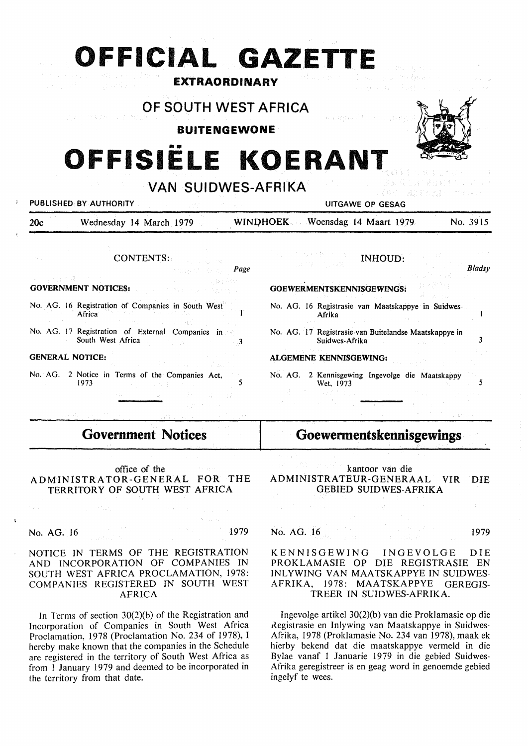## **OFFICIAL GAZETTI EXTRAORDINARY**

OF SOUTH WEST AFRICA

### **BUITENGEWONE**

# **OFFISIELE KOERAN**

VAN SUIDWES-AFRIKA



#### PUBLISHED BY AUTHORITY **EXECUTE ALL AUTHORITY** AND RESAGE OF GESAGE OF GESAGE OF GESAGE OF GESAGE OF GESAGE OF GESAGE OF GESAGE OF GESAGE OF GESAGE OF GESAGE OF GESAGE OF GESAGE OF GESAGE OF GESAGE OF GESAGE OF GESAGE OF G

20c Wednesday 14 March 1979 **WIN[)HOEK** Woensdag 14 Maart 1979 No. 3915

CONTENTS:

Page

#### **GOVERNMENT NOTICES:**

No. AG. 16 Registration of Companies in South West Ĭ. Africa

No. AG. 17 Registration of External Companies in South West Africa 3

#### **GENERAL NOTICE:**

No. AG. 2 Notice in Terms of the Companies Act,<br>1973 **1973 1973 1984** 

#### INHOUD:

*Bladsy* 

Ï

#### **GOEWERMENTSKENNISGEWINGS:**

No. AG. 16 Registrasie van Maatskappye in Suidwes-Afrika

No. AG. I 7 Registrasie van Buitelandse Maatskappye in Suidwes-Afrika 3

#### **ALGEMENE KENNISGEWING:**

No. AG. 2 Kennisgewing Ingevolge die Maatskappy Wet,  $1973$   $\overline{\phantom{0}}$   $\overline{\phantom{0}}$   $\overline{\phantom{0}}$   $\overline{\phantom{0}}$   $\overline{\phantom{0}}$   $\overline{\phantom{0}}$   $\overline{\phantom{0}}$   $\overline{\phantom{0}}$ 

## **Government Notices**

#### office of the ADMINISTRATOR-GENERAL FOR THE TERRITORY OF SOUTH WEST AFRICA

to pri

#### No. AG. 16 1979

#### NOTICE IN TERMS OF THE REGISTRATION AND INCORPORATION OF COMPANIES IN SOUTH WEST AFRICA PROCLAMATION, 1978: COMPANIES REGISTERED IN SOUTH WEST AFRICA

In Terms of section 30(2)(b) of the Registration and Incorporation of Companies in South West Africa Proclamation, 1978 (Proclamation No. 234 of 1978), I hereby make known that the companies in the Schedule are registered in the territory or South West Africa as from 1 January 1979 and deemed to be incorporated in the territory from that date.

## **Goewermentskennisgewings**

kantoor van die ADMINISTRATEUR-GENERAAL VIR DIE GEBIED SUIDWES-AFRIKA

#### No. AG. 16 1979

#### KENNISGEWING INGEVOLGE DIE PROKLAMASIE OP DIE REGISTRASIE EN INLYWING VAN MAATSKAPPYE IN SUIDWES-AFRIKA, 1978: MAATSKAPPYE GEREGIS-TREER IN SUIDWES-AFRIKA.

lngevolge artikel 30(2)(b) van die Proklamasie op die Registrasie en Inlywing van Maatskappye in Suidwes-Afrika, 1978 (Proklamasie No. 234 van 1978), maak ek hierby bekend dat die maatskappye vermeld in die Bylae vanaf l Januarie 1979 in die gebied Suidwes-Afrika geregistreer is en geag word in genoemde gebied ingelyf te wees.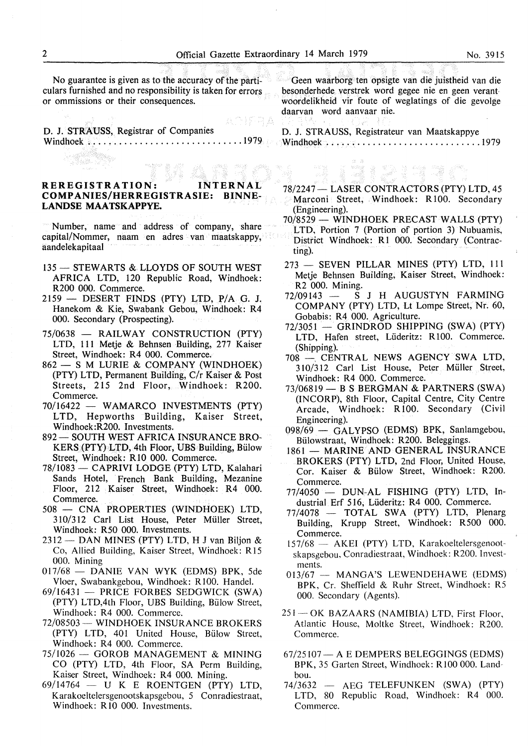No guarantee is given as to the accuracy of the particulars furnished and no responsibility is taken for errors or ommissions or their consequences.

ADIFRA D. J. **STRAUSS,** Registrar of Companies Windhoek .............................. 1979

#### **REREGISTRATION: INTERNAL COMPANIES/HERREGISTRASIE: BINNE-LANDSE MAATSKAPPYE.**

Number, name and address of company, share capital/Nommer, naam en adres van maatskappy, aandelekapitaal

- 135 STEWARTS & LLOYDS OF SOUTH WEST AFRICA LTD, 120 Republic Road, Windhoek: R200 000. Commerce.
- $2159$  DESERT FINDS (PTY) LTD, P/A G. J. Hanekom & Kie, Swabank Gebou, Windhoek: R4 000. Secondary (Prospecting).
- 75/0638 RAILWAY CONSTRUCTION (PTY) LTD, 111 Metje & Behnsen Building, 277 Kaiser Street, Windhoek: R4 000. Commerce.
- 862 S M LURIE & COMPANY (WINDHOEK) (PTY) LTD, Permanent Building, C/r Kaiser & Post Streets, 215 2nd Floor, Windhoek: R200. Commerce.
- 70/16422 WAMARCO INVESTMENTS (PTY) LTD, Hepworths Building, Kaiser Street, Windhoek:R200. Investments.
- 892 SOUTH WEST AFRICA INSURANCE BRO-KERS (PTY) LTD, 4th Floor, UBS Building, Billow Street, Windhoek: RIO 000. Commerce.
- 78/1083 CAPRIVI LODGE (PTY) LTD, Kalahari Sands Hotel, French Bank Building, Mezanine Floor, 212 Kaiser Street, Windhoek: R4 000. Commerce.
- 508 CNA PROPERTIES (WINDHOEK) LTD, 310/312 Carl List House, Peter Millier Street, Windhoek: R50 000. Investments.
- $2312$  DAN MINES (PTY) LTD, H J van Biljon & Co, Allied Building, Kaiser Street, Windhoek: Rl5 000. Mining
- $017/68$  DANIE VAN WYK (EDMS) BPK, 5de Vloer, Swabankgebou, Windhoek: RlO0. Handel.
- 69/16431 PRICE FORBES SEDGWICK (SWA) (PTY) LTD, 4th Floor, UBS Building, Bülow Street, Windhoek: R4 000. Commerce.
- 72/08503 WINDHOEK INSURANCE BROKERS (PTY) LTD, 401 United House, Bülow Street, Windhoek: R4 000. Commerce.
- 75/1026 GOROB MANAGEMENT & MINING CO (PTY) LTD, 4th Floor, SA Perm Building, Kaiser Street, Windhoek: R4 000. Mining.
- 69/14764 U K E ROENTGEN (PTY) LTD, Karakoeltelersgenootskapsgebou, *5* Conradiestraat, Windhoek: RIO 000. Investments.

Geen waarborg ten opsigte van die juistheid van die besonderhede verstrek word gegee nie en geen verantwoordelikheid vir foute of weglatings of die gevolge daarvan word aanvaar nie.

**D. J. STRAUSS,** Registrateur van Maatskappye Windhoek .............................. 1979

xang<br>Sail

78/2247- LASER CONTRACTORS (PTY) LTD, 45 Marconi Street, Windhoek: R100. Secondary (Engineering).

ista de la provincia<br>Antonio de la contra

- 70/8529 WINDHOEK PRECAST WALLS (PTY) LTD, Portion 7 (Portion of portion 3) Nubuamis, District Windhoek: Rl 000. Secondary (Contracting).
- 273 SEVEN PILLAR MINES (PTY) LTD, 111 Metje Behnsen Building, Kaiser Street, Windhoek: R2 000. Mining.<br> $72/09143 - S$
- $\overline{S}$  J H AUGUSTYN FARMING COMPANY (PTY) LTD, Lt Lompe Street, Nr. 60, Gobabis: R4 000. Agriculture.
- $72/3051 -$  GRINDROD SHIPPING (SWA) (PTY) LTD, Hafen street, Liideritz: R 100. Commerce. (Shipping).
- 708 CENTRAL NEWS AGENCY SWA LTD, 310/312 Carl List House, Peter Muller Street, Windhoek: R4 000. Commerce.
- $73/06819$  B S BERGMAN & PARTNERS (SWA) (INCORP), 8th Floor, Capital Centre, City Centre Arcade, Windhoek: R100. Secondary (Civil Engineering).
- 098/69 GALYPSO (EDMS) BPK, Sanlamgebou, Biilowstraat, Windhoek: R200. Beleggings.
- 1861 MARINE AND GENERAL INSURANCE BROKERS (PTY) LTD, 2nd Floor, United House, Cor. Kaiser & Bulow Street, Windhoek: R200. Commerce.
- $77/4050$  DUN-AL FISHING (PTY) LTD, Industrial Erf 516, Liideritz: R4 000. Commerce.
- 77/4078 TOTAL SWA (PTY) LTD, Plenarg Building, Krupp Street, Windhoek: R500 000. Commerce.
- 157/68 AKEI (PTY) LTD, Karakoeltelersgenootskapsgebou, Conradiestraat, Windhoek: R200. Investments. . . . .
- $013/67$  MANGA'S LEWENDEHAWE (EDMS) BPK, Cr. Sheffield & Ruhr Street, Windhoek: R5 000. Secondary (Agents).
- 251 OK BAZAARS (NAMIBIA) LTD, First Floor, Atlantic House, Moltke Street, Windhoek: R200. Commerce.
- $67/25107 A E$  DEMPERS BELEGGINGS (EDMS) BPK, 35 Garten Street, Windhoek: R100 000. Landbou.
- 74/3632 AEG TELEFUNKEN (SWA) (PTY) LTD, 80 Republic Road, Windhoek: R4 000. Commerce.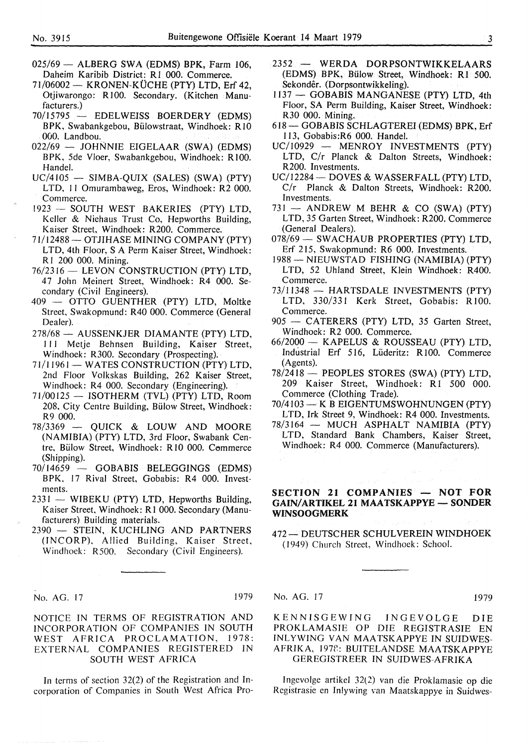- $025/69$  ALBERG SWA (EDMS) BPK, Farm 106, Daheim Karibib District: RI 000. Commerce.
- $71/06002$  KRONEN-KÜCHE (PTY) LTD, Erf 42, Otjiwarongo: RI00. Secondary. (Kitchen Manufacturers.)
- 70/15795 EDELWEISS BOERDERY (EDMS) BPK, Swabankgebou, Biilowstraat, Windhoek: RlO 000. Landbou.
- 022/69 JOHNNIE EIGELAAR (SWA) (EDMS) BPK, 5de Vloer, Swabankgebou, Windhoek: RI00. Handel.
- $UC/4105$  SIMBA-QUIX (SALES) (SWA) (PTY) LTD, 11 Omurambaweg, Eros, Windhoek: R2 000. Commerce.
- 1923 SOUTH WEST BAKERIES (PTY) LTD, Keller & Niehaus Trust Co, Hepworths Building, Kaiser Street, Windhoek: R200. Commerce.
- 71/12488 OTJIHASE MINING COMPANY (PTY) LTD, 4th Floor, S A Perm Kaiser Street, Windhoek: RI 200 000. Mining.
- 76/2316 LEVON CONSTRUCTION (PTY) LTD, 47 John Meinert Street, Windhoek: R4 000. Secondary (Civil Engineers).
- 409 OTTO GUENTHER (PTY) LTD, Moltke Street, Swakopmund: R40 000. Commerce (General Dealer).
- 278/68 AUSSENKJER DIAMANTE (PTY) LTD, I 11 Metje Behnsen Building, Kaiser Street, Windhoek: R300. Secondary (Prospecting).
- 71/11961 WATES CONSTRUCTION (PTY) LTD, 2nd Floor Volkskas Building, 262 Kaiser Street, Windhoek: R4 000. Secondary (Engineering).
- $71/00125$  ISOTHERM (TVL) (PTY) LTD, Room 208, City Centre Building, Billow Street, Windhoek: R<sub>9</sub> 000.<br>- 78/3369
- QUICK & LOUW AND MOORE (NAMIBIA) (PTY) LTD, 3rd Floor, Swabank Centre, Bülow Street, Windhoek: R10 000. Commerce (Shipping).
- 70/14659 GOBABIS BELEGGINGS (EDMS) BPK, 17 Rival Street, Gobabis: R4 000. Investments.
- 2331 WIBEKU (PTY) LTD, Hepworths Building, Kaiser Street, Windhoek: R 1 000. Secondary (Manufacturers) Building materials.
- 2390 STEIN, KUCHLING AND PARTNERS (INCORP), Allied Building, Kaiser Street, Windhoek: R500. Secondary (Civil Engineers).

- No. AG. 17 1979

NOTICE IN TERMS OF REGISTRATION AND INCORPORATION OF COMPANIES IN SOUTH WEST AFRICA PROCLAMATION, 1978: EXTERNAL COMPANIES REGISTERED IN SOUTH WEST AFRICA

In terms of section  $32(2)$  of the Registration and Incorporation of Companies in South West Africa Pro-

- 2352 WERDA DORPSONTWIKKELAARS (EDMS) BPK, Bulow Street, Windhoek: RI 500. Sekondêr. (Dorpsontwikkeling).
- 1137 GOBABIS MANGANESE (PTY) LTD, 4th Floor, SA Perm Building, Kaiser Street, Windhoek: R30 000. Mining.
- 618 GOBABIS SCHLAGTEREI (EDMS) BPK, Erf I 13, Gobabis:R6 000. Handel.
- UC/10929 MENROY INVESTMENTS (PTY) LTD, C/r Planck & Dalton Streets, Windhoek: R200. Investments.
- UC/12284 DOVES & WASSERFALL (PTY) LTD. C/r Planck & Dalton Streets, Windhoek: R200. Investments.
- $731$  ANDREW M BEHR & CO (SWA) (PTY) LTD, 35 Garten Street, Windhoek: R200. Commerce (General Dealers).
- 078/69 SWACHAUB PROPERTIES (PTY) LTD. Erf 215, Swakopmund: R6 000. Investments.
- 1988 NIEUWSTAD FISHING (NAMIBIA) (PTY) LTD, 52 Uhland Street, Klein Windhoek: R400. Commerce.
- 73/11348 HARTSDALE INVESTMENTS (PTY) LTD, 330/331 Kerk Street, Gobabis: R100. Commerce.
- 905 CATERERS (PTY) LTD, 35 Garten Street, Windhoek: R2 000. Commerce.
- 66/2000 KAPELUS & ROUSSEAU (PTY) LTD, Industrial Erf 516, Lüderitz: R100. Commerce (Agents).
- 78/2418 PEOPLES STORES (SWA) (PTY) LTD, 209 Kaiser Street, Windhoek: Rl 500 000. Commerce (Clothing Trade).
- 70/4103- KB EIGENTUMSWOHNUNGEN (PTY) LTD, Irk Street 9, Windhoek: R4 000. Investments.
- 78/3164 MUCH ASPHALT NAMIBIA (PTY) LTD, Standard Bank Chambers, Kaiser Street, Windhoek: R4 000. Commerce (Manufacturers).

#### **SECTION 21 COMPANIES - NOT FOR GAIN/ARTIKEL 21 MAATSKAPPYE-SONDER WINSOOGMERK**

472 - DEUTSCHER SCHULVEREIN WINDHOEK ( 1949) Church Street, Windhoek: School.

No. AG. 17 1979

KENNISGEWING INGEVOLGE DIE PROKLAMASIE OP DIE REGISTRASIE EN INLYWING VAN MAATSKAPPYE IN SUIDWES-AFRIKA, 1978: BUITELANDSE MAATSKAPPYE GEREGISTREER IN SUIDWES-AFRIKA

Ingevolge artikel  $32(2)$  van die Proklamasie op die Registrasie en Inlywing van Maatskappye in Suidwes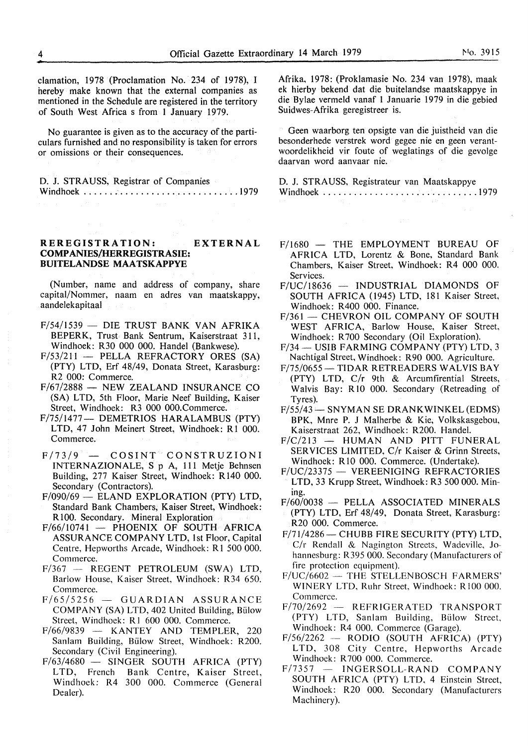clamation, 1978 (Proclamation No. 234 of 1978), I hereby make known that the external companies as mentioned in the Schedule are registered in the territory of South West Africa s from 1 January 1979.

No guarantee is given as to the accuracy of the particulars furnished and no responsibility is taken for errors or omissions or their consequences.

| D. J. STRAUSS, Registrar of Companies |  |  |
|---------------------------------------|--|--|
|                                       |  |  |

#### **REREGISTRATION: EXTERNAL COMP ANIES/HERREGISTRASIE: BUITELANDSE MAA TSKAPPYE**

(Number, name and address of company, share capital/Nommer, naam en adres van maatskappy, aandelekapitaal

- $F/54/1539$  DIE TRUST BANK VAN AFRIKA BEPERK, Trust Bank Sentrum, Kaiserstraat 311, Windhoek: R30 000 000. Handel (Bankwese).
- $F/53/211$  PELLA REFRACTORY ORES (SA) (PTY) LTD, Erf 48/49, Donata Street, Karasburg: R2 000: Commerce.
- $F/67/2888$  NEW ZEALAND INSURANCE CO (SA) LTD, 5th Floor, Marie Neef Building, Kaiser Street, Windhoek: R3 000 000.Commerce.
- F/75/1477- DEMETRIOS HARALAMBUS (PTY) LTD, 47 John Meinert Street, Windhoek: R1 000. Commerce.
- $F/73/9$   $-$  COSINT<sup>\*</sup> CONSTRUZIONI INTERNAZION ALE, S p A, 111 Metje Behnsen Building, 277 Kaiser Street, Windhoek: R140 000. Secondary (Contractors).
- F/090/69 ELAND EXPLORATION (PTY) LTD, Standard Bank Chambers, Kaiser Street, Windhoek: R 100. Secondary. Mineral Exploration
- $F/66/10741$  PHOENIX OF SOUTH AFRICA ASSURANCE COMPANY LTD, 1st Floor, Capital Centre, Hepworths Arcade, Windhoek: R1 500 000. Commerce.
- F/367 REGENT PETROLEUM **(SWA)** LTD, Barlow House, Kaiser Street, Windhoek: R34 650. Commerce.
- $F/65/5256 GUARDIAN$  ASSURANCE COMPANY (SA) LTD, 402 United Building, Billow Street, Windhoek: Rl 600 000. Commerce.
- $F/66/9839$  KANTEY AND TEMPLER, 220 Sanlam Building, Billow Street, Windhoek: R200. Secondary (Civil Engineering).
- F/63/4680 SINGER SOUTH AFRICA (PTY) LTD, French Bank Centre, Kaiser Street, Windhoek: R4 300 000. Commerce (General Dealer).

Afrika, 1978: (Proklamasie No. 234 van 1978), maak ek hierby bekend dat die buitelandse maatskappye in die Bylae vermeld vanaf 1 Januarie 1979 in die gebied Suidwes-Afrika geregistreer is.

Geen waarborg ten opsigte van die juistheid van die besonderhede verstrek word gegee nie en geen verantwoordelikheid vir foute of weglatings of die gevolge daarvan word aanvaar nie.

D. J. STRAUSS, Registrateur van Maatskappye Windhoek .............................. 1979

- F/1680 THE EMPLOYMENT BUREAU OF AFRICA LTD, Lorentz & Bone, Standard Bank Chambers, Kaiser Street, Windhoek: R4 000 000. Services.
- $F/UC/18636$  INDUSTRIAL DIAMONDS OF SOUTH AFRICA (1945) LTD, 181 Kaiser Street, Windhoek: R400 000. Finance.
- F/361 CHEVRON OIL COMPANY OF SOUTH WEST AFRICA, Barlow House, Kaiser Street, Windhoek: R 700 Secondary (Oil Exploration).
- F/34 USIB FARMING COMPANY (PTY) LTD, 3 Nachtigal Street, Windhoek: R90 000. Agriculture.
- F/75/0655 TIDAR RETREADERS WALVIS BAY (PTY) LTD, C/r 9th & Arcumfirential Streets, Walvis Bay: R10 000. Secondary (Retreading of Tyres).
- $F/55/43$  SNYMAN SE DRANK WINKEL (EDMS) BPK, Mnre P. J Malherbe & Kie, Volkskasgebou, Kaiserstraat 262, Windhoek: R200. Handel.
- $F/C/213$  HUMAN AND PITT FUNERAL SER VICES LIMITED, C/r Kaiser & Grinn Streets, Windhoek: RIO 000. Commerce. (Undertake).
- F/UC/23375 VEREENIGING REFRACTORIES LTD, 33 Krupp Street, Windhoek: R3 500 000. Mining.
- $F/60/0038$  PELLA ASSOCIATED MINERALS (PTY) LTD, Erf 48/49, Donata Street, Karasburg: R20 000. Commerce.
- F/71/4286 CHUBB FIRE SECURITY (PTY) LTD, C/r Rendall & Nagington Streets, Wadeville, Johannesburg: R395 000. Secondary (Manufacturers of fire protection equipment).
- $F/UC/6602$  THE STELLENBOSCH FARMERS' WINERY LTD, Ruhr Street, Windhoek: R100 000. Commerce.<br> $F/70/2692 -$
- REFRIGERATED TRANSPORT (PTY) LTD, Sanlam Building, Billow Street, Windhoek: R4 000. Commerce (Garage).
- $F/56/2262$  RODIO (SOUTH AFRICA) (PTY) LTD, 308 City Centre, Hepworths Arcade Windhoek: R 700 000. Commerce.
- $F/7357 INGERSOLL-RAND$  COMPANY SOUTH AFRICA (PTY) LTD, 4 Einstein Street, Windhoek: R20 000. Secondary (Manufacturers Machinery).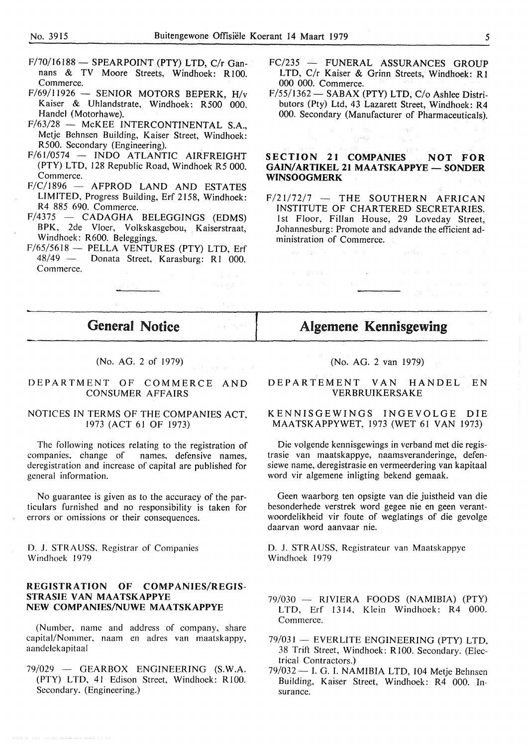- F/70/16188 SPEARPOINT (PTY) LTD, C/r Gannans & TV Moore Streets, Windhoek: RIOO. Commerce.
- $F/69/11926$  SENIOR MOTORS BEPERK, H/v Kaiser & Uhlandstrate, Windhoek: R500 000. Handel (Motorhawe).
- $F/63/28$  McKEE INTERCONTINENTAL S.A., Metje Behnsen Building, Kaiser Street, Windhoek: R500. Secondary (Engineering).
- *Fl61I0574*  INDO ATLANTIC AIRFREIGHT (PTY) LTD, 128 Republic Road, Windhoek R5 000. Commerce.
- $F/C/1896$  AFPROD LAND AND ESTATES LIMITED, Progress Building, Erf 2158, Windhoek: R4 885 690. Commerce.
- $F/4375$  CADAGHA BELEGGINGS (EDMS) BPK, 2de Vloer, Volkskasgebou, Kaiserstraat, Windhoek: R600. Beleggings.
- *Fl65l5618*  PELLA VENTURES (PTY) LTD, Erf Donata Street, Karasburg: R1 000. Commerce.
- *FCl235*  FUNERAL ASSURANCES GROUP LTD, C/r Kaiser & Grinn Streets, Windhoek: R1 000 000. Commerce.
- *Fl55l1362-* SABAX (PTY) LTD, *Clo* Ashlee Distributors (Pty) Ltd, 43 Lazarett Street, Windhoek: R4 000. Secondary (Manufacturer of Pharmaceuticals).

#### SECTION 21 COMPANIES NOT FOR **GAIN/ARTIKEL 21 MAATSKAPPYE - SONDER WINSOOGMERK**

i sa Braz

 $F/21/72/7$  - THE SOUTHERN AFRICAN INSTITUTE OF CHARTERED SECRETARIES. 1st Floor, Fillan House, 29 Loveday Street, Johannesburg: Promote and advande the efficient administration of Commerce.

## General Notice

#### (No. AG. 2 of 1979)

#### DEPARTMENT OF COMMERCE AND CONSUMER AFFAIRS

#### NOTICES IN TERMS OF THE COMPANIES ACT, 1973 (ACT 61 OF 1973)

The following notices relating to the registration of companies, change of names, defensive names. names, defensive names, deregistration and increase of capital are published for general information.

No guarantee is given as to the accuracy of the particulars furnished and no responsibility is taken for errors or omissions or their consequences.

D. J. STRAUSS, Registrar of Companies Windhoek 1979

#### **REGISTRATION OF COMPANIES/REGIS-STRASIE VAN MAATSKAPPYE NEW COMPANIES/NUWE MAATSKAPPYE**

(Number, name and address of company, share capital/Nommer, naam en adres van maatskappy, aandelekapitaal

 $79/029$  - GEARBOX ENGINEERING (S.W.A. (PTY) LTD, 41 Edison Street, Windhoek: RlOO. Secondary. (Engineering.)

## (No. AG. 2 van 1979)

Algemene Kennisgewing

 $\mathbb{R}^2$ 

#### DEPARTEMENT VAN HANDEL EN VERBRUIKERSAKE

#### KENNISGEWINGS INGEVOLGE DIE MAATSKAPPYWET, 1973 (WET 61 VAN 1973)

Die volgende kennisgewings in verband met die registrasie van maatskappye, naamsveranderinge, defensiewe name, deregistrasie en vermeerdering van kapitaal word vir algemene inligting bekend gemaak.

Geen waarborg ten opsigte van die juistheid van die besonderhede verstrek word gegee nie en geen verantwoordelikheid vir foute of weglatings of die gevolge daarvan word aanvaar nie.

D. J. STRAUSS, Registrateur van Maatskappye Windhoek 1979

- 79/030 RIVIERA FOODS (NAMIBIA) (PTY) LTD, Erf 1314, Klein Windhoek: R4 000. Commerce.
- *791031*  EVERLITE ENGINEERING (PTY) LTD, 38 Trift Street, Windhoek: RlO0. Secondary. (Electrical Contractors.)
- 79/032 I. G. I. NAMIBIA LTD, 104 Metje Behnsen Building, Kaiser Street, Windhoek: R4 000. Insurance.